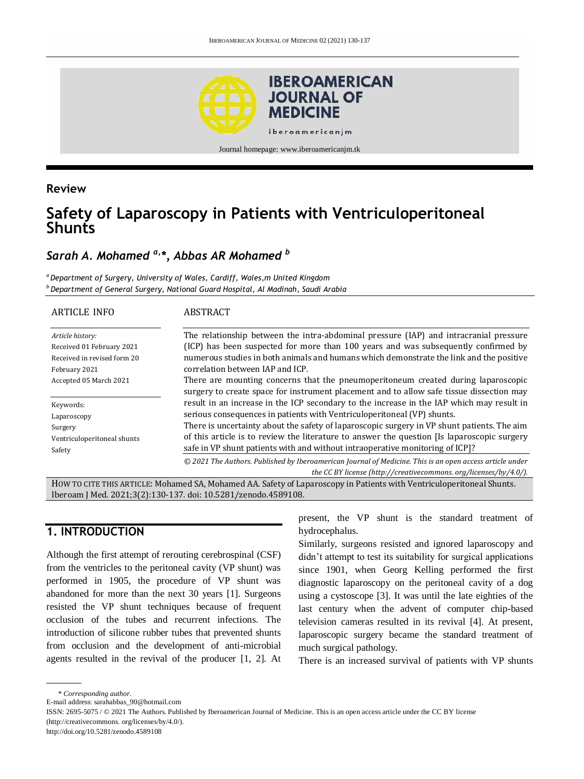

Journal homepage: www.iberoamericanjm.tk

#### **Review**

# **Safety of Laparoscopy in Patients with Ventriculoperitoneal Shunts**

# *Sarah A. Mohamed a,\*, Abbas AR Mohamed <sup>b</sup>*

*<sup>a</sup>Department of Surgery, University of Wales, Cardiff, Wales,m United Kingdom <sup>b</sup> Department of General Surgery, National Guard Hospital, Al Madinah, Saudi Arabia*

| ARTICLE INFO                                                                                  | ABSTRACT                                                                                                                                                                                                                                                                                                                                                                                                                                           |
|-----------------------------------------------------------------------------------------------|----------------------------------------------------------------------------------------------------------------------------------------------------------------------------------------------------------------------------------------------------------------------------------------------------------------------------------------------------------------------------------------------------------------------------------------------------|
| Article history:<br>Received 01 February 2021<br>Received in revised form 20<br>February 2021 | The relationship between the intra-abdominal pressure (IAP) and intracranial pressure<br>(ICP) has been suspected for more than 100 years and was subsequently confirmed by<br>numerous studies in both animals and humans which demonstrate the link and the positive<br>correlation between IAP and ICP.                                                                                                                                         |
| Accepted 05 March 2021                                                                        | There are mounting concerns that the pneumoperitoneum created during laparoscopic<br>surgery to create space for instrument placement and to allow safe tissue dissection may                                                                                                                                                                                                                                                                      |
| Keywords:<br>Laparoscopy<br>Surgery<br>Ventriculoperitoneal shunts<br>Safety                  | result in an increase in the ICP secondary to the increase in the IAP which may result in<br>serious consequences in patients with Ventriculoperitoneal (VP) shunts.<br>There is uncertainty about the safety of laparoscopic surgery in VP shunt patients. The aim<br>of this article is to review the literature to answer the question [Is laparoscopic surgery<br>safe in VP shunt patients with and without intraoperative monitoring of ICP? |
|                                                                                               | © 2021 The Authors. Published by Iberoamerican Journal of Medicine. This is an open access article under<br>the CC BY license (http://creativecommons.org/licenses/by/4.0/).                                                                                                                                                                                                                                                                       |

HOW TO CITE THIS ARTICLE: Mohamed SA, Mohamed AA. Safety of Laparoscopy in Patients with Ventriculoperitoneal Shunts. Iberoam J Med. 2021;3(2):130-137. doi[: 10.5281/zenodo.4589108.](http://doi.org/10.5281/zenodo.4589108)

### **1. INTRODUCTION**

Although the first attempt of rerouting cerebrospinal (CSF) from the ventricles to the peritoneal cavity (VP shunt) was performed in 1905, the procedure of VP shunt was abandoned for more than the next 30 years [1]. Surgeons resisted the VP shunt techniques because of frequent occlusion of the tubes and recurrent infections. The introduction of silicone rubber tubes that prevented shunts from occlusion and the development of anti-microbial agents resulted in the revival of the producer [1, 2]. At present, the VP shunt is the standard treatment of hydrocephalus.

Similarly, surgeons resisted and ignored laparoscopy and didn't attempt to test its suitability for surgical applications since 1901, when Georg Kelling performed the first diagnostic laparoscopy on the peritoneal cavity of a dog using a cystoscope [\[3\].](https://www.cureus.com/publish/articles/42382-safety-of-laparoscopy-in-patients-with-ventriculoperitoneal-shunts/preview#references) It was until the late eighties of the last century when the advent of computer chip-based television cameras resulted in its revival [4]. At present, laparoscopic surgery became the standard treatment of much surgical pathology.

There is an increased survival of patients with VP shunts

<sup>\*</sup> *Corresponding author.*

E-mail address: sarahabbas\_90@hotmail.com

ISSN: 2695-5075 / © 2021 The Authors. Published by Iberoamerican Journal of Medicine. This is an open access article under the CC BY license (http://creativecommons. org/licenses/by/4.0/).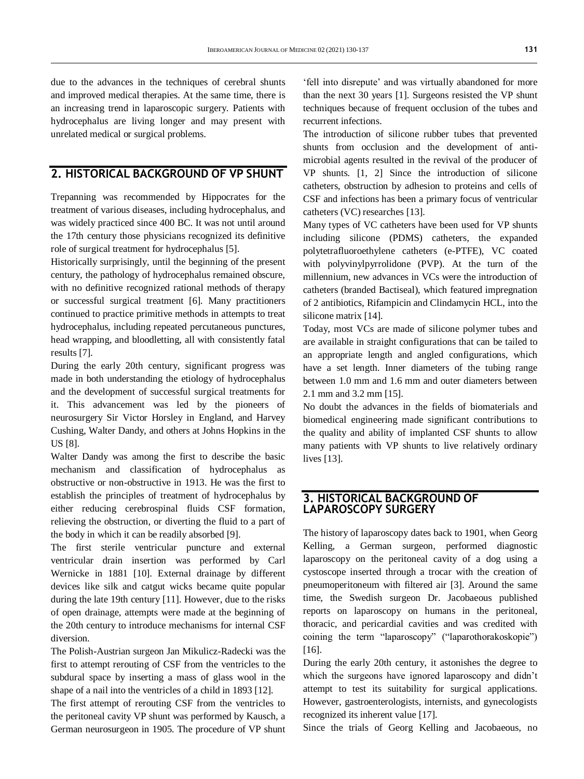due to the advances in the techniques of cerebral shunts and improved medical therapies. At the same time, there is an increasing trend in laparoscopic surgery. Patients with hydrocephalus are living longer and may present with unrelated medical or surgical problems.

## **2. HISTORICAL BACKGROUND OF VP SHUNT**

Trepanning was recommended by Hippocrates for the treatment of various diseases, including hydrocephalus, and was widely practiced since 400 BC. It was not until around the 17th century those physicians recognized its definitive role of surgical treatment for hydrocephalus [5].

Historically surprisingly, until the beginning of the present century, the pathology of hydrocephalus remained obscure, with no definitive recognized rational methods of therapy or successful surgical treatment [6]. Many practitioners continued to practice primitive methods in attempts to treat hydrocephalus, including repeated percutaneous punctures, head wrapping, and bloodletting, all with consistently fatal results [7].

During the early 20th century, significant progress was made in both understanding the etiology of hydrocephalus and the development of successful surgical treatments for it. This advancement was led by the pioneers of neurosurgery Sir Victor Horsley in England, and Harvey Cushing, Walter Dandy, and others at Johns Hopkins in the US [8].

Walter Dandy was among the first to describe the basic mechanism and classification of hydrocephalus as obstructive or non-obstructive in 1913. He was the first to establish the principles of treatment of hydrocephalus by either reducing cerebrospinal fluids CSF formation, relieving the obstruction, or diverting the fluid to a part of the body in which it can be readily absorbed [9].

The first sterile ventricular puncture and external ventricular drain insertion was performed by Carl Wernicke in 1881 [10]. External drainage by different devices like silk and catgut wicks became quite popular during the late 19th century [11]. However, due to the risks of open drainage, attempts were made at the beginning of the 20th century to introduce mechanisms for internal CSF diversion.

The Polish-Austrian surgeon Jan Mikulicz-Radecki was the first to attempt rerouting of CSF from the ventricles to the subdural space by inserting a mass of glass wool in the shape of a nail into the ventricles of a child in 1893 [12].

The first attempt of rerouting CSF from the ventricles to the peritoneal cavity VP shunt was performed by Kausch, a German neurosurgeon in 1905. The procedure of VP shunt

'fell into disrepute' and was virtually abandoned for more than the next 30 years [1]. Surgeons resisted the VP shunt techniques because of frequent occlusion of the tubes and recurrent infections.

The introduction of silicone rubber tubes that prevented shunts from occlusion and the development of antimicrobial agents resulted in the revival of the producer of VP shunts. [1, 2] Since the introduction of silicone catheters, obstruction by adhesion to proteins and cells of CSF and infections has been a primary focus of ventricular catheters (VC) researches [13].

Many types of VC catheters have been used for VP shunts including silicone (PDMS) catheters, the expanded polytetrafluoroethylene catheters (e-PTFE), VC coated with polyvinylpyrrolidone (PVP). At the turn of the millennium, new advances in VCs were the introduction of catheters (branded Bactiseal), which featured impregnation of 2 antibiotics, Rifampicin and Clindamycin HCL, into the silicone matrix [14].

Today, most VCs are made of silicone polymer tubes and are available in straight configurations that can be tailed to an appropriate length and angled configurations, which have a set length. Inner diameters of the tubing range between 1.0 mm and 1.6 mm and outer diameters between 2.1 mm and 3.2 mm [15].

No doubt the advances in the fields of biomaterials and biomedical engineering made significant contributions to the quality and ability of implanted CSF shunts to allow many patients with VP shunts to live relatively ordinary lives [13].

#### **3. HISTORICAL BACKGROUND OF LAPAROSCOPY SURGERY**

The history of laparoscopy dates back to 1901, when Georg Kelling, a German surgeon, performed diagnostic laparoscopy on the peritoneal cavity of a dog using a cystoscope inserted through a trocar with the creation of pneumoperitoneum with filtered air [3]. Around the same time, the Swedish surgeon Dr. Jacobaeous published reports on laparoscopy on humans in the peritoneal, thoracic, and pericardial cavities and was credited with coining the term "laparoscopy" ("laparothorakoskopie") [16].

During the early 20th century, it astonishes the degree to which the surgeons have ignored laparoscopy and didn't attempt to test its suitability for surgical applications. However, gastroenterologists, internists, and gynecologists recognized its inherent value [17].

Since the trials of Georg Kelling and Jacobaeous, no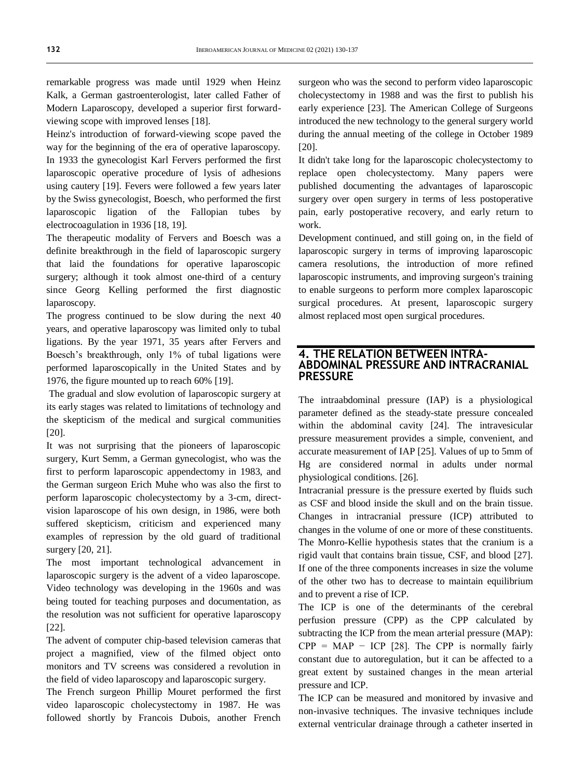remarkable progress was made until 1929 when Heinz Kalk, a German gastroenterologist, later called Father of Modern Laparoscopy, developed a superior first forwardviewing scope with improved lenses [18].

Heinz's introduction of forward-viewing scope paved the way for the beginning of the era of operative laparoscopy. In 1933 the gynecologist Karl Fervers performed the first laparoscopic operative procedure of lysis of adhesions using cautery [19]. Fevers were followed a few years later by the Swiss gynecologist, Boesch, who performed the first laparoscopic ligation of the Fallopian tubes by electrocoagulation in 1936 [18, 19].

The therapeutic modality of Fervers and Boesch was a definite breakthrough in the field of laparoscopic surgery that laid the foundations for operative laparoscopic surgery; although it took almost one-third of a century since Georg Kelling performed the first diagnostic laparoscopy.

The progress continued to be slow during the next 40 years, and operative laparoscopy was limited only to tubal ligations. By the year 1971, 35 years after Fervers and Boesch's breakthrough, only 1% of tubal ligations were performed laparoscopically in the United States and by 1976, the figure mounted up to reach 60% [19].

The gradual and slow evolution of laparoscopic surgery at its early stages was related to limitations of technology and the skepticism of the medical and surgical communities [20].

It was not surprising that the pioneers of laparoscopic surgery, Kurt Semm, a German gynecologist, who was the first to perform laparoscopic appendectomy in 1983, and the German surgeon Erich Muhe who was also the first to perform laparoscopic cholecystectomy by a 3-cm, directvision laparoscope of his own design, in 1986, were both suffered skepticism, criticism and experienced many examples of repression by the old guard of traditional surgery [20, 21].

The most important technological advancement in laparoscopic surgery is the advent of a video laparoscope. Video technology was developing in the 1960s and was being touted for teaching purposes and documentation, as the resolution was not sufficient for operative laparoscopy [22].

The advent of computer chip-based television cameras that project a magnified, view of the filmed object onto monitors and TV screens was considered a revolution in the field of video laparoscopy and laparoscopic surgery.

The French surgeon Phillip Mouret performed the first video laparoscopic cholecystectomy in 1987. He was followed shortly by Francois Dubois, another French surgeon who was the second to perform video laparoscopic cholecystectomy in 1988 and was the first to publish his early experience [23]. The American College of Surgeons introduced the new technology to the general surgery world during the annual meeting of the college in October 1989 [20].

It didn't take long for the laparoscopic cholecystectomy to replace open cholecystectomy. Many papers were published documenting the advantages of laparoscopic surgery over open surgery in terms of less postoperative pain, early postoperative recovery, and early return to work.

Development continued, and still going on, in the field of laparoscopic surgery in terms of improving laparoscopic camera resolutions, the introduction of more refined laparoscopic instruments, and improving surgeon's training to enable surgeons to perform more complex laparoscopic surgical procedures. At present, laparoscopic surgery almost replaced most open surgical procedures.

#### **4. THE RELATION BETWEEN INTRA-ABDOMINAL PRESSURE AND INTRACRANIAL PRESSURE**

The intraabdominal pressure (IAP) is a physiological parameter defined as the steady-state pressure concealed within the abdominal cavity [24]. The intravesicular pressure measurement provides a simple, convenient, and accurate measurement of IAP [25]. Values of up to 5mm of Hg are considered normal in adults under normal physiological conditions. [26].

Intracranial pressure is the pressure exerted by fluids such as CSF and blood inside the skull and on the brain tissue. Changes in intracranial pressure (ICP) attributed to changes in the volume of one or more of these constituents. The Monro-Kellie hypothesis states that the cranium is a rigid vault that contains brain tissue, CSF, and blood [27]. If one of the three components increases in size the volume of the other two has to decrease to maintain equilibrium and to prevent a rise of ICP.

The ICP is one of the determinants of the cerebral perfusion pressure (CPP) as the CPP calculated by subtracting the ICP from the mean arterial pressure (MAP):  $CPP = MAP - ICP$  [28]. The CPP is normally fairly constant due to autoregulation, but it can be affected to a great extent by sustained changes in the mean arterial pressure and ICP.

The ICP can be measured and monitored by invasive and non-invasive techniques. The invasive techniques include external ventricular drainage through a catheter inserted in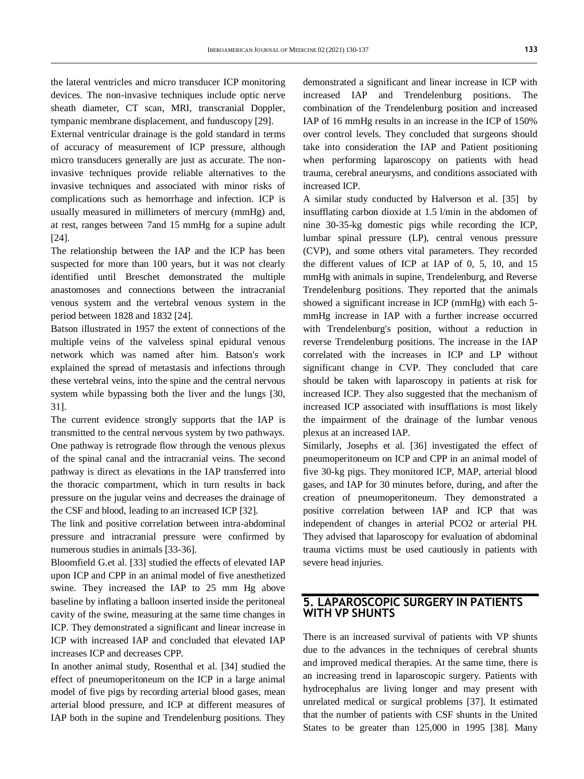the lateral ventricles and micro transducer ICP monitoring devices. The non-invasive techniques include optic nerve sheath diameter, CT scan, MRI, transcranial Doppler, tympanic membrane displacement, and funduscopy [29].

External ventricular drainage is the gold standard in terms of accuracy of measurement of ICP pressure, although micro transducers generally are just as accurate. The noninvasive techniques provide reliable alternatives to the invasive techniques and associated with minor risks of complications such as hemorrhage and infection. ICP is usually measured in millimeters of mercury (mmHg) and, at rest, ranges between 7and 15 mmHg for a supine adult [24].

The relationship between the IAP and the ICP has been suspected for more than 100 years, but it was not clearly identified until Breschet demonstrated the multiple anastomoses and connections between the intracranial venous system and the vertebral venous system in the period between 1828 and 1832 [24].

Batson illustrated in 1957 the extent of connections of the multiple veins of the valveless spinal epidural venous network which was named after him. Batson's work explained the spread of metastasis and infections through these vertebral veins, into the spine and the central nervous system while bypassing both the liver and the lungs [30, 31].

The current evidence strongly supports that the IAP is transmitted to the central nervous system by two pathways. One pathway is retrograde flow through the venous plexus of the spinal canal and the intracranial veins. The second pathway is direct as elevations in the IAP transferred into the thoracic compartment, which in turn results in back pressure on the jugular veins and decreases the drainage of the CSF and blood, leading to an increased ICP [32].

The link and positive correlation between intra-abdominal pressure and intracranial pressure were confirmed by numerous studies in animals [33-36].

Bloomfield G.et al. [33] studied the effects of elevated IAP upon ICP and CPP in an animal model of five anesthetized swine. They increased the IAP to 25 mm Hg above baseline by inflating a balloon inserted inside the peritoneal cavity of the swine, measuring at the same time changes in ICP. They demonstrated a significant and linear increase in ICP with increased IAP and concluded that elevated IAP increases ICP and decreases CPP.

In another animal study, Rosenthal et al. [34] studied the effect of pneumoperitoneum on the ICP in a large animal model of five pigs by recording arterial blood gases, mean arterial blood pressure, and ICP at different measures of IAP both in the supine and Trendelenburg positions. They demonstrated a significant and linear increase in ICP with increased IAP and Trendelenburg positions. The combination of the Trendelenburg position and increased IAP of 16 mmHg results in an increase in the ICP of 150% over control levels. They concluded that surgeons should take into consideration the IAP and Patient positioning when performing laparoscopy on patients with head trauma, cerebral aneurysms, and conditions associated with increased ICP.

A similar study conducted by Halverson et al. [35] by insufflating carbon dioxide at 1.5 l/min in the abdomen of nine 30-35-kg domestic pigs while recording the ICP, lumbar spinal pressure (LP), central venous pressure (CVP), and some others vital parameters. They recorded the different values of ICP at IAP of 0, 5, 10, and 15 mmHg with animals in supine, Trendelenburg, and Reverse Trendelenburg positions. They reported that the animals showed a significant increase in ICP (mmHg) with each 5 mmHg increase in IAP with a further increase occurred with Trendelenburg's position, without a reduction in reverse Trendelenburg positions. The increase in the IAP correlated with the increases in ICP and LP without significant change in CVP. They concluded that care should be taken with laparoscopy in patients at risk for increased ICP. They also suggested that the mechanism of increased ICP associated with insufflations is most likely the impairment of the drainage of the lumbar venous plexus at an increased IAP.

Similarly, Josephs et al. [36] investigated the effect of pneumoperitoneum on ICP and CPP in an animal model of five 30-kg pigs. They monitored ICP, MAP, arterial blood gases, and IAP for 30 minutes before, during, and after the creation of pneumoperitoneum. They demonstrated a positive correlation between IAP and ICP that was independent of changes in arterial PCO2 or arterial PH. They advised that laparoscopy for evaluation of abdominal trauma victims must be used cautiously in patients with severe head injuries.

#### **5. LAPAROSCOPIC SURGERY IN PATIENTS WITH VP SHUNTS**

There is an increased survival of patients with VP shunts due to the advances in the techniques of cerebral shunts and improved medical therapies. At the same time, there is an increasing trend in laparoscopic surgery. Patients with hydrocephalus are living longer and may present with unrelated medical or surgical problems [37]. It estimated that the number of patients with CSF shunts in the United States to be greater than 125,000 in 1995 [38]. Many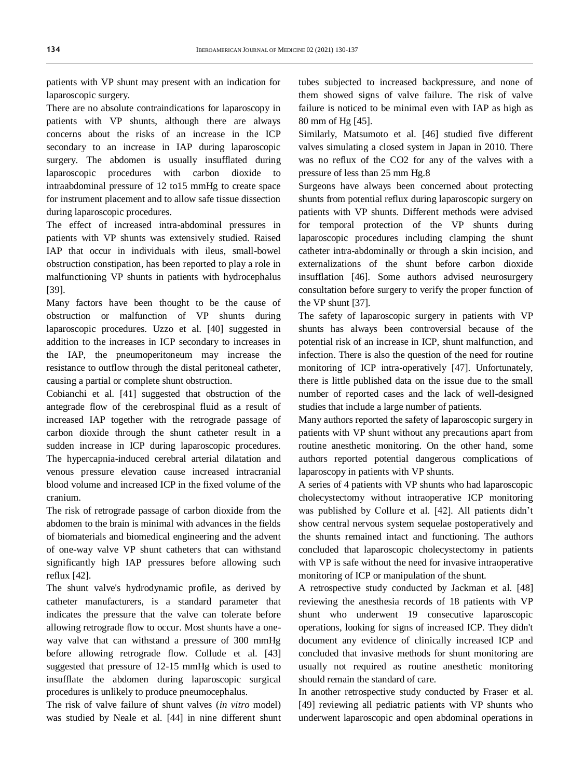patients with VP shunt may present with an indication for laparoscopic surgery.

There are no absolute contraindications for laparoscopy in patients with VP shunts, although there are always concerns about the risks of an increase in the ICP secondary to an increase in IAP during laparoscopic surgery. The abdomen is usually insufflated during laparoscopic procedures with carbon dioxide to intraabdominal pressure of 12 to15 mmHg to create space for instrument placement and to allow safe tissue dissection during laparoscopic procedures.

The effect of increased intra-abdominal pressures in patients with VP shunts was extensively studied. Raised IAP that occur in individuals with ileus, small-bowel obstruction constipation, has been reported to play a role in malfunctioning VP shunts in patients with hydrocephalus [39].

Many factors have been thought to be the cause of obstruction or malfunction of VP shunts during laparoscopic procedures. Uzzo et al. [40] suggested in addition to the increases in ICP secondary to increases in the IAP, the pneumoperitoneum may increase the resistance to outflow through the distal peritoneal catheter, causing a partial or complete shunt obstruction.

Cobianchi et al. [41] suggested that obstruction of the antegrade flow of the cerebrospinal fluid as a result of increased IAP together with the retrograde passage of carbon dioxide through the shunt catheter result in a sudden increase in ICP during laparoscopic procedures. The hypercapnia-induced cerebral arterial dilatation and venous pressure elevation cause increased intracranial blood volume and increased ICP in the fixed volume of the cranium.

The risk of retrograde passage of carbon dioxide from the abdomen to the brain is minimal with advances in the fields of biomaterials and biomedical engineering and the advent of one-way valve VP shunt catheters that can withstand significantly high IAP pressures before allowing such reflux [42].

The shunt valve's hydrodynamic profile, as derived by catheter manufacturers, is a standard parameter that indicates the pressure that the valve can tolerate before allowing retrograde flow to occur. Most shunts have a oneway valve that can withstand a pressure of 300 mmHg before allowing retrograde flow. Collude et al. [43] suggested that pressure of 12-15 mmHg which is used to insufflate the abdomen during laparoscopic surgical procedures is unlikely to produce pneumocephalus.

The risk of valve failure of shunt valves (*in vitro* model) was studied by Neale et al. [44] in nine different shunt tubes subjected to increased backpressure, and none of them showed signs of valve failure. The risk of valve failure is noticed to be minimal even with IAP as high as 80 mm of Hg [45].

Similarly, Matsumoto et al. [46] studied five different valves simulating a closed system in Japan in 2010. There was no reflux of the CO2 for any of the valves with a pressure of less than 25 mm Hg.8

Surgeons have always been concerned about protecting shunts from potential reflux during laparoscopic surgery on patients with VP shunts. Different methods were advised for temporal protection of the VP shunts during laparoscopic procedures including clamping the shunt catheter intra-abdominally or through a skin incision, and externalizations of the shunt before carbon dioxide insufflation [46]. Some authors advised neurosurgery consultation before surgery to verify the proper function of the VP shunt [37].

The safety of laparoscopic surgery in patients with VP shunts has always been controversial because of the potential risk of an increase in ICP, shunt malfunction, and infection. There is also the question of the need for routine monitoring of ICP intra-operatively [47]. Unfortunately, there is little published data on the issue due to the small number of reported cases and the lack of well-designed studies that include a large number of patients.

Many authors reported the safety of laparoscopic surgery in patients with VP shunt without any precautions apart from routine anesthetic monitoring. On the other hand, some authors reported potential dangerous complications of laparoscopy in patients with VP shunts.

A series of 4 patients with VP shunts who had laparoscopic cholecystectomy without intraoperative ICP monitoring was published by Collure et al. [42]. All patients didn't show central nervous system sequelae postoperatively and the shunts remained intact and functioning. The authors concluded that laparoscopic cholecystectomy in patients with VP is safe without the need for invasive intraoperative monitoring of ICP or manipulation of the shunt.

A retrospective study conducted by Jackman et al. [48] reviewing the anesthesia records of 18 patients with VP shunt who underwent 19 consecutive laparoscopic operations, looking for signs of increased ICP. They didn't document any evidence of clinically increased ICP and concluded that invasive methods for shunt monitoring are usually not required as routine anesthetic monitoring should remain the standard of care.

In another retrospective study conducted by Fraser et al. [49] reviewing all pediatric patients with VP shunts who underwent laparoscopic and open abdominal operations in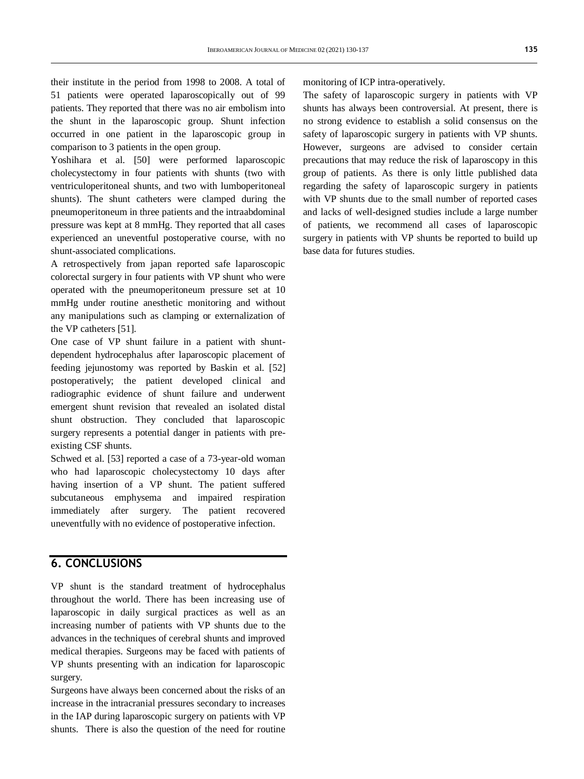their institute in the period from 1998 to 2008. A total of 51 patients were operated laparoscopically out of 99 patients. They reported that there was no air embolism into the shunt in the laparoscopic group. Shunt infection occurred in one patient in the laparoscopic group in comparison to 3 patients in the open group.

Yoshihara et al. [50] were performed laparoscopic cholecystectomy in four patients with shunts (two with ventriculoperitoneal shunts, and two with lumboperitoneal shunts). The shunt catheters were clamped during the pneumoperitoneum in three patients and the intraabdominal pressure was kept at 8 mmHg. They reported that all cases experienced an uneventful postoperative course, with no shunt-associated complications.

A retrospectively from japan reported safe laparoscopic colorectal surgery in four patients with VP shunt who were operated with the pneumoperitoneum pressure set at 10 mmHg under routine anesthetic monitoring and without any manipulations such as clamping or externalization of the VP catheters [51].

One case of VP shunt failure in a patient with shuntdependent hydrocephalus after laparoscopic placement of feeding jejunostomy was reported by Baskin et al. [52] postoperatively; the patient developed clinical and radiographic evidence of shunt failure and underwent emergent shunt revision that revealed an isolated distal shunt obstruction. They concluded that laparoscopic surgery represents a potential danger in patients with preexisting CSF shunts.

Schwed et al. [53] reported a case of a 73-year-old woman who had laparoscopic cholecystectomy 10 days after having insertion of a VP shunt. The patient suffered subcutaneous emphysema and impaired respiration immediately after surgery. The patient recovered uneventfully with no evidence of postoperative infection.

#### **6. CONCLUSIONS**

VP shunt is the standard treatment of hydrocephalus throughout the world. There has been increasing use of laparoscopic in daily surgical practices as well as an increasing number of patients with VP shunts due to the advances in the techniques of cerebral shunts and improved medical therapies. Surgeons may be faced with patients of VP shunts presenting with an indication for laparoscopic surgery.

Surgeons have always been concerned about the risks of an increase in the intracranial pressures secondary to increases in the IAP during laparoscopic surgery on patients with VP shunts. There is also the question of the need for routine monitoring of ICP intra-operatively.

The safety of laparoscopic surgery in patients with VP shunts has always been controversial. At present, there is no strong evidence to establish a solid consensus on the safety of laparoscopic surgery in patients with VP shunts. However, surgeons are advised to consider certain precautions that may reduce the risk of laparoscopy in this group of patients. As there is only little published data regarding the safety of laparoscopic surgery in patients with VP shunts due to the small number of reported cases and lacks of well-designed studies include a large number of patients, we recommend all cases of laparoscopic surgery in patients with VP shunts be reported to build up base data for futures studies.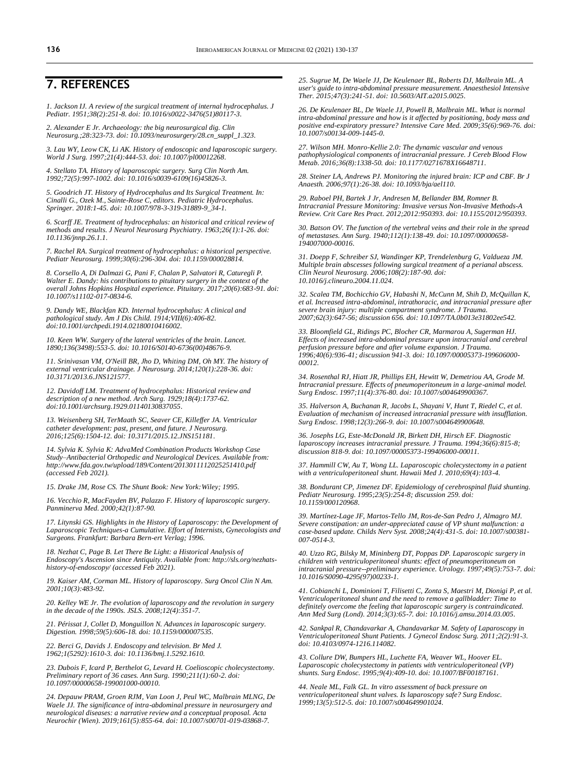#### **7. REFERENCES**

*1. Jackson IJ. A review of the surgical treatment of internal hydrocephalus. J Pediatr. 1951;38(2):251-8. doi[: 10.1016/s0022-3476\(51\)80117-3.](https://doi.org/10.1016/s0022-3476(51)80117-3)*

*2. Alexander E Jr. Archaeology: the big neurosurgical dig. Clin Neurosurg.;28:323-73. doi[: 10.1093/neurosurgery/28.cn\\_suppl\\_1.323.](https://doi.org/10.1093/neurosurgery/28.cn_suppl_1.323)*

*3. Lau WY, Leow CK, Li AK. History of endoscopic and laparoscopic surgery. World J Surg. 1997;21(4):444-53. doi[: 10.1007/pl00012268.](https://doi.org/10.1007/pl00012268)*

*4. Stellato TA. History of laparoscopic surgery. Surg Clin North Am. 1992;72(5):997-1002. doi[: 10.1016/s0039-6109\(16\)45826-3.](https://doi.org/10.1016/s0039-6109(16)45826-3)*

*5. Goodrich JT. History of Hydrocephalus and Its Surgical Treatment. In: Cinalli G., Ozek M., Sainte-Rose C, editors. Pediatric Hydrocephalus. Springer. 2018:1-45. doi[: 10.1007/978-3-319-31889-9\\_34-1.](https://doi.org/10.1007/978-3-319-31889-9_34-1)* 

*6. Scarff JE. Treatment of hydrocephalus: an historical and critical review of methods and results. J Neurol Neurosurg Psychiatry. 1963;26(1):1-26. doi: [10.1136/jnnp.26.1.1.](https://doi.org/10.1136/jnnp.26.1.1)*

*7. Rachel RA. Surgical treatment of hydrocephalus: a historical perspective. Pediatr Neurosurg. 1999;30(6):296-304. doi[: 10.1159/000028814.](https://doi.org/10.1159/000028814)*

*8. Corsello A, Di Dalmazi G, Pani F, Chalan P, Salvatori R, Caturegli P. Walter E. Dandy: his contributions to pituitary surgery in the context of the overall Johns Hopkins Hospital experience. Pituitary. 2017;20(6):683-91. doi: [10.1007/s11102-017-0834-6.](https://doi.org/10.1007/s11102-017-0834-6)*

*9. Dandy WE, Blackfan KD. Internal hydrocephalus: A clinical and pathological study. Am J Dis Child. 1914;VIII(6):406-82. do[i:10.1001/archpedi.1914.02180010416002.](https://doi.org/10.1001/archpedi.1914.02180010416002)*

*10. Keen WW. [Surgery of the lateral ventricles of the brain.](https://doi.org/10.1016/S0140-6736(00)48676-9) Lancet. 1890;136(3498):553-5. doi[: 10.1016/S0140-6736\(00\)48676-9.](https://doi.org/10.1016/S0140-6736(00)48676-9)*

*11. Srinivasan VM, O'Neill BR, Jho D, Whiting DM, Oh MY. The history of external ventricular drainage. J Neurosurg. 2014;120(1):228-36. doi: [10.3171/2013.6.JNS121577.](https://doi.org/10.3171/2013.6.jns121577)*

*12. Davidoff LM. Treatment of hydrocephalus: Historical review and description of a new method. Arch Surg. 1929;18(4):1737-62. do[i:10.1001/archsurg.1929.01140130837055.](https://doi.org/10.1001/archsurg.1929.01140130837055)*

*13. Weisenberg SH, TerMaath SC, Seaver CE, Killeffer JA. Ventricular catheter development: past, present, and future. J Neurosurg. 2016;125(6):1504-12. doi[: 10.3171/2015.12.JNS151181.](https://doi.org/10.3171/2015.12.jns151181)*

*14. Sylvia K. Sylvia K: AdvaMed Combination Products Workshop Case Study–Antibacterial Orthopedic and Neurological Devices. Available from: <http://www.fda.gov.tw/upload/189/Content/2013011112025251410.pdf> (accessed Feb 2021).*

*15. Drake JM, Rose CS. The Shunt Book: New York:Wiley; 1995.*

*16. Vecchio R, MacFayden BV, Palazzo F. History of laparoscopic surgery. Panminerva Med. 2000;42(1):87-90.*

*17. Litynski GS. Highlights in the History of Laparoscopy: the Development of Laparoscopic Techniques-a Cumulative. Effort of Internists, Gynecologists and Surgeons. Frankfurt: Barbara Bern-ert Verlag; 1996.* 

*18. Nezhat C, Page B. Let There Be Light: a Historical Analysis of Endoscopy's Ascension since Antiquity. Available from[: http://sls.org/nezhats](http://sls.org/nezhats-history-of-endoscopy/)[history-of-endoscopy/](http://sls.org/nezhats-history-of-endoscopy/) (accessed Feb 2021).*

*19. Kaiser AM, Corman ML. History of laparoscopy. Surg Oncol Clin N Am. 2001;10(3):483-92.*

*20. Kelley WE Jr. The evolution of laparoscopy and the revolution in surgery in the decade of the 1990s. JSLS. 2008;12(4):351-7.*

*21. Périssat J, Collet D, Monguillon N. Advances in laparoscopic surgery. Digestion. 1998;59(5):606-18. doi[: 10.1159/000007535.](https://doi.org/10.1159/000007535)*

*22. Berci G, Davids J. Endoscopy and television. Br Med J. 1962;1(5292):1610-3. doi[: 10.1136/bmj.1.5292.1610.](https://doi.org/10.1136/bmj.1.5292.1610)*

*23. Dubois F, Icard P, Berthelot G, Levard H. Coelioscopic cholecystectomy. Preliminary report of 36 cases. Ann Surg. 1990;211(1):60-2. doi: [10.1097/00000658-199001000-00010.](https://doi.org/10.1097/00000658-199001000-00010)*

*24. Depauw PRAM, Groen RJM, Van Loon J, Peul WC, Malbrain MLNG, De Waele JJ. The significance of intra-abdominal pressure in neurosurgery and neurological diseases: a narrative review and a conceptual proposal. Acta Neurochir (Wien). 2019;161(5):855-64. doi[: 10.1007/s00701-019-03868-7.](https://doi.org/10.1007/s00701-019-03868-7)*

*25. Sugrue M, De Waele JJ, De Keulenaer BL, Roberts DJ, Malbrain ML. A user's guide to intra-abdominal pressure measurement. Anaesthesiol Intensive Ther. 2015;47(3):241-51. doi[: 10.5603/AIT.a2015.0025.](https://doi.org/10.5603/ait.a2015.0025)* 

*26. De Keulenaer BL, De Waele JJ, Powell B, Malbrain ML. What is normal intra-abdominal pressure and how is it affected by positioning, body mass and positive end-expiratory pressure? Intensive Care Med. 2009;35(6):969-76. doi: [10.1007/s00134-009-1445-0.](https://doi.org/10.1007/s00134-009-1445-0)*

*27. Wilson MH. Monro-Kellie 2.0: The dynamic vascular and venous pathophysiological components of intracranial pressure. J Cereb Blood Flow Metab. 2016;36(8):1338-50. doi[: 10.1177/0271678X16648711.](https://doi.org/10.1177/0271678x16648711)*

*28. Steiner LA, Andrews PJ. Monitoring the injured brain: ICP and CBF. Br J Anaesth. 2006;97(1):26-38. doi[: 10.1093/bja/ael110.](https://doi.org/10.1093/bja/ael110)*

*29. Raboel PH, Bartek J Jr, Andresen M, Bellander BM, Romner B. Intracranial Pressure Monitoring: Invasive versus Non-Invasive Methods-A Review. Crit Care Res Pract. 2012;2012:950393. doi: [10.1155/2012/950393.](https://doi.org/10.1155/2012/950393)*

*30. Batson OV. The function of the vertebral veins and their role in the spread of metastases. Ann Surg. 1940;112(1):138-49. doi[: 10.1097/00000658-](https://doi.org/10.1097/00000658-194007000-00016) [194007000-00016.](https://doi.org/10.1097/00000658-194007000-00016)*

*31. Doepp F, Schreiber SJ, Wandinger KP, Trendelenburg G, Valdueza JM. Multiple brain abscesses following surgical treatment of a perianal abscess. Clin Neurol Neurosurg. 2006;108(2):187-90. doi: [10.1016/j.clineuro.2004.11.024.](https://doi.org/10.1016/j.clineuro.2004.11.024)*

*32. Scalea TM, Bochicchio GV, Habashi N, McCunn M, Shih D, McQuillan K, et al. Increased intra-abdominal, intrathoracic, and intracranial pressure after severe brain injury: multiple compartment syndrome. J Trauma. 2007;62(3):647-56; discussion 656. doi[: 10.1097/TA.0b013e31802ee542.](https://doi.org/10.1097/ta.0b013e31802ee542)*

*33. Bloomfield GL, Ridings PC, Blocher CR, Marmarou A, Sugerman HJ. Effects of increased intra-abdominal pressure upon intracranial and cerebral perfusion pressure before and after volume expansion. J Trauma. 1996;40(6):936-41; discussion 941-3. doi[: 10.1097/00005373-199606000-](https://doi.org/10.1097/00005373-199606000-00012) [00012.](https://doi.org/10.1097/00005373-199606000-00012)*

*34. Rosenthal RJ, Hiatt JR, Phillips EH, Hewitt W, Demetriou AA, Grode M. Intracranial pressure. Effects of pneumoperitoneum in a large-animal model. Surg Endosc. 1997;11(4):376-80. doi[: 10.1007/s004649900367.](https://doi.org/10.1007/s004649900367)*

*35. Halverson A, Buchanan R, Jacobs L, Shayani V, Hunt T, Riedel C, et al. Evaluation of mechanism of increased intracranial pressure with insufflation. Surg Endosc. 1998;12(3):266-9. doi[: 10.1007/s004649900648.](https://doi.org/10.1007/s004649900648)*

*36. Josephs LG, Este-McDonald JR, Birkett DH, Hirsch EF. Diagnostic laparoscopy increases intracranial pressure. J Trauma. 1994;36(6):815-8; discussion 818-9. doi[: 10.1097/00005373-199406000-00011.](https://doi.org/10.1097/00005373-199406000-00011)*

*37. Hammill CW, Au T, Wong LL. Laparoscopic cholecystectomy in a patient with a ventriculoperitoneal shunt. Hawaii Med J. 2010;69(4):103-4.*

*38. Bondurant CP, Jimenez DF. Epidemiology of cerebrospinal fluid shunting. Pediatr Neurosurg. 1995;23(5):254-8; discussion 259. doi: [10.1159/000120968.](https://doi.org/10.1159/000120968)*

*39. Martínez-Lage JF, Martos-Tello JM, Ros-de-San Pedro J, Almagro MJ. Severe constipation: an under-appreciated cause of VP shunt malfunction: a case-based update. Childs Nerv Syst. 2008;24(4):431-5. doi[: 10.1007/s00381-](https://doi.org/10.1007/s00381-007-0514-3) [007-0514-3.](https://doi.org/10.1007/s00381-007-0514-3)*

*40. Uzzo RG, Bilsky M, Mininberg DT, Poppas DP. Laparoscopic surgery in children with ventriculoperitoneal shunts: effect of pneumoperitoneum on intracranial pressure--preliminary experience. Urology. 1997;49(5):753-7. doi: [10.1016/S0090-4295\(97\)00233-1.](https://doi.org/10.1016/s0090-4295(97)00233-1)*

*41. Cobianchi L, Dominioni T, Filisetti C, Zonta S, Maestri M, Dionigi P, et al. Ventriculoperitoneal shunt and the need to remove a gallbladder: Time to definitely overcome the feeling that laparoscopic surgery is contraindicated. Ann Med Surg (Lond). 2014;3(3):65-7. doi[: 10.1016/j.amsu.2014.03.005.](https://doi.org/10.1016/j.amsu.2014.03.005)*

*42. Sankpal R, Chandavarkar A, Chandavarkar M. Safety of Laparoscopy in Ventriculoperitoneal Shunt Patients. J Gynecol Endosc Surg. 2011;2(2):91-3. doi[: 10.4103/0974-1216.114082.](https://doi.org/10.4103/0974-1216.114082)*

*43. Collure DW, Bumpers HL, Luchette FA, Weaver WL, Hoover EL. Laparoscopic cholecystectomy in patients with ventriculoperitoneal (VP) shunts. Surg Endosc. 1995;9(4):409-10. doi[: 10.1007/BF00187161.](https://doi.org/10.1007/bf00187161)*

*44. Neale ML, Falk GL. In vitro assessment of back pressure on ventriculoperitoneal shunt valves. Is laparoscopy safe? Surg Endosc. 1999;13(5):512-5. doi[: 10.1007/s004649901024.](https://doi.org/10.1007/s004649901024)*